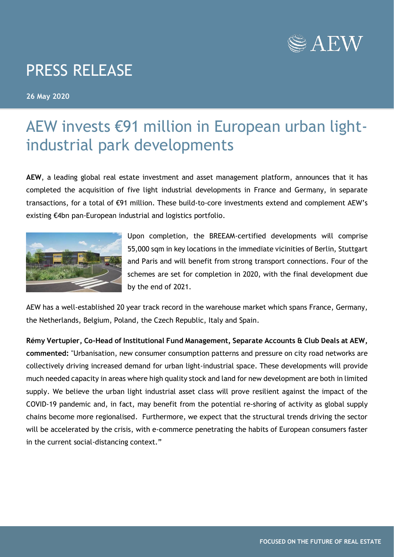

## PRESS RELEASE

**26 May 2020**

## AEW invests €91 million in European urban lightindustrial park developments

**AEW**, a leading global real estate investment and asset management platform, announces that it has completed the acquisition of five light industrial developments in France and Germany, in separate transactions, for a total of €91 million. These build-to-core investments extend and complement AEW's existing €4bn pan-European industrial and logistics portfolio.



Upon completion, the BREEAM-certified developments will comprise 55,000 sqm in key locations in the immediate vicinities of Berlin, Stuttgart and Paris and will benefit from strong transport connections. Four of the schemes are set for completion in 2020, with the final development due by the end of 2021.

AEW has a well-established 20 year track record in the warehouse market which spans France, Germany, the Netherlands, Belgium, Poland, the Czech Republic, Italy and Spain.

**Rémy Vertupier, Co-Head of Institutional Fund Management, Separate Accounts & Club Deals at AEW, commented:** "Urbanisation, new consumer consumption patterns and pressure on city road networks are collectively driving increased demand for urban light-industrial space. These developments will provide much needed capacity in areas where high quality stock and land for new development are both in limited supply. We believe the urban light industrial asset class will prove resilient against the impact of the COVID-19 pandemic and, in fact, may benefit from the potential re-shoring of activity as global supply chains become more regionalised. Furthermore, we expect that the structural trends driving the sector will be accelerated by the crisis, with e-commerce penetrating the habits of European consumers faster in the current social-distancing context."